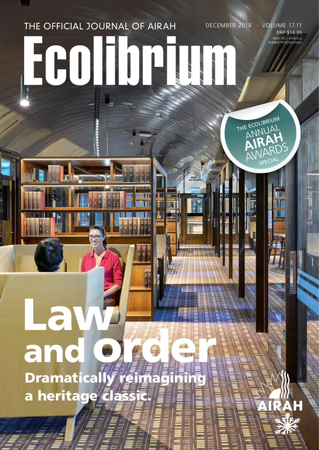## THE OFFICIAL JOURNAL OF AIRAH DECEMBER 2018 · VOLUME 17.11 Ecolibrium

n pr

PRINT POST APPROVAL NUMBER PP352532/00001 RRP \$14.95

THE ECOLIBRIUM E ECOLILIAL ANNAH

AWARDS SPECIAL

# Law<sup>3</sup> and order and Dramatically reimagining a heritage classic